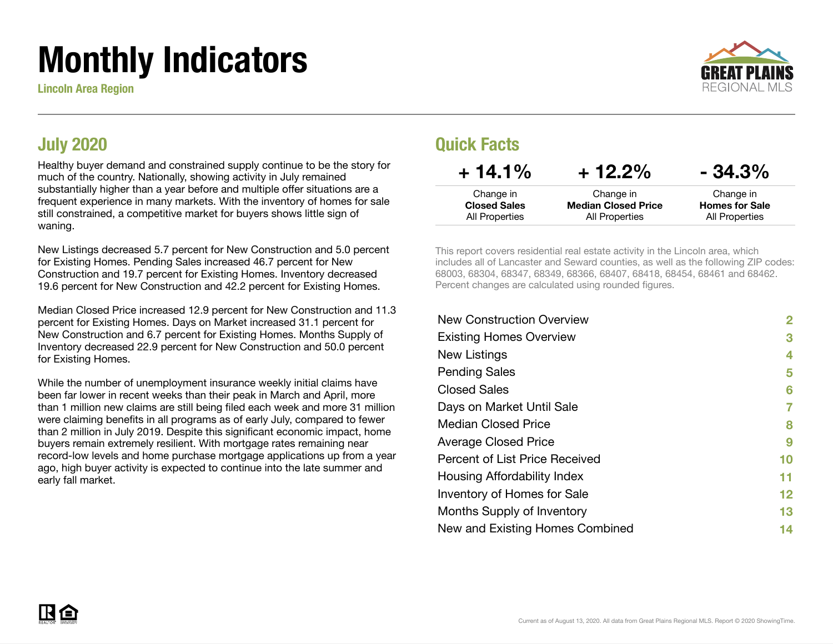# Monthly Indicators

Lincoln Area Region



#### July 2020

Healthy buyer demand and constrained supply continue to be the story for much of the country. Nationally, showing activity in July remained substantially higher than a year before and multiple offer situations are a frequent experience in many markets. With the inventory of homes for sale still constrained, a competitive market for buyers shows little sign of waning.

New Listings decreased 5.7 percent for New Construction and 5.0 percent for Existing Homes. Pending Sales increased 46.7 percent for New Construction and 19.7 percent for Existing Homes. Inventory decreased 19.6 percent for New Construction and 42.2 percent for Existing Homes.

Median Closed Price increased 12.9 percent for New Construction and 11.3 percent for Existing Homes. Days on Market increased 31.1 percent for New Construction and 6.7 percent for Existing Homes. Months Supply of Inventory decreased 22.9 percent for New Construction and 50.0 percent for Existing Homes.

While the number of unemployment insurance weekly initial claims have been far lower in recent weeks than their peak in March and April, more than 1 million new claims are still being filed each week and more 31 million were claiming benefits in all programs as of early July, compared to fewer than 2 million in July 2019. Despite this significant economic impact, home buyers remain extremely resilient. With mortgage rates remaining near record-low levels and home purchase mortgage applications up from a year ago, high buyer activity is expected to continue into the late summer and early fall market.

#### Quick Facts

| $+14.1%$            | $+12.2%$                   | $-34.3\%$             |
|---------------------|----------------------------|-----------------------|
| Change in           | Change in                  | Change in             |
| <b>Closed Sales</b> | <b>Median Closed Price</b> | <b>Homes for Sale</b> |
| All Properties      | All Properties             | All Properties        |

This report covers residential real estate activity in the Lincoln area, which includes all of Lancaster and Seward counties, as well as the following ZIP codes: 68003, 68304, 68347, 68349, 68366, 68407, 68418, 68454, 68461 and 68462. Percent changes are calculated using rounded figures.

| 2  |
|----|
| 3  |
| 4  |
| 5  |
| 6  |
| 7  |
| 8  |
| 9  |
| 10 |
| 11 |
| 12 |
| 13 |
| 14 |
|    |

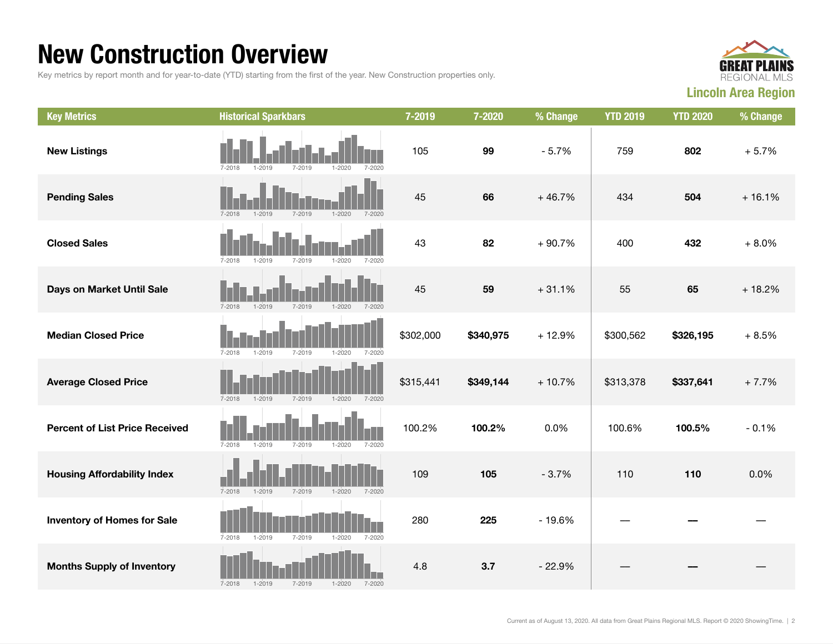#### New Construction Overview

Key metrics by report month and for year-to-date (YTD) starting from the first of the year. New Construction properties only.



| <b>Key Metrics</b>                    | <b>Historical Sparkbars</b>                                        | 7-2019    | 7-2020    | % Change | <b>YTD 2019</b> | <b>YTD 2020</b> | % Change |
|---------------------------------------|--------------------------------------------------------------------|-----------|-----------|----------|-----------------|-----------------|----------|
| <b>New Listings</b>                   | 7-2018<br>$1 - 2019$<br>7-2019<br>$1 - 2020$<br>7-2020             | 105       | 99        | $-5.7%$  | 759             | 802             | $+5.7%$  |
| <b>Pending Sales</b>                  | $7 - 2018$<br>$7 - 2019$<br>$1 - 2019$<br>$1 - 2020$<br>$7 - 2020$ | 45        | 66        | $+46.7%$ | 434             | 504             | $+16.1%$ |
| <b>Closed Sales</b>                   | $7 - 2020$<br>7-2018<br>$1 - 2019$<br>7-2019<br>1-2020             | 43        | 82        | $+90.7%$ | 400             | 432             | $+8.0%$  |
| Days on Market Until Sale             | $7 - 2018$<br>$1 - 2019$<br>$1 - 2020$<br>$7 - 2020$<br>7-2019     | 45        | 59        | $+31.1%$ | 55              | 65              | $+18.2%$ |
| <b>Median Closed Price</b>            | $7 - 2018$<br>$1 - 2019$<br>7-2019<br>$1 - 2020$<br>$7 - 2020$     | \$302,000 | \$340,975 | $+12.9%$ | \$300,562       | \$326,195       | $+8.5%$  |
| <b>Average Closed Price</b>           | $7 - 2018$<br>$1 - 2019$<br>7-2019<br>$1 - 2020$<br>7-2020         | \$315,441 | \$349,144 | $+10.7%$ | \$313,378       | \$337,641       | $+7.7%$  |
| <b>Percent of List Price Received</b> | $7 - 2018$<br>$1 - 2019$<br>$7 - 2019$<br>$1 - 2020$<br>7-2020     | 100.2%    | 100.2%    | 0.0%     | 100.6%          | 100.5%          | $-0.1%$  |
| <b>Housing Affordability Index</b>    | $7 - 2018$<br>$1 - 2019$<br>7-2019<br>$1 - 2020$<br>$7 - 2020$     | 109       | 105       | $-3.7%$  | 110             | 110             | 0.0%     |
| <b>Inventory of Homes for Sale</b>    | $7 - 2018$<br>$1 - 2019$<br>7-2019<br>$1 - 2020$<br>$7 - 2020$     | 280       | 225       | $-19.6%$ |                 |                 |          |
| <b>Months Supply of Inventory</b>     | $1 - 2019$<br>7-2019<br>$1 - 2020$<br>$7 - 2018$<br>$7 - 2020$     | 4.8       | 3.7       | $-22.9%$ |                 |                 |          |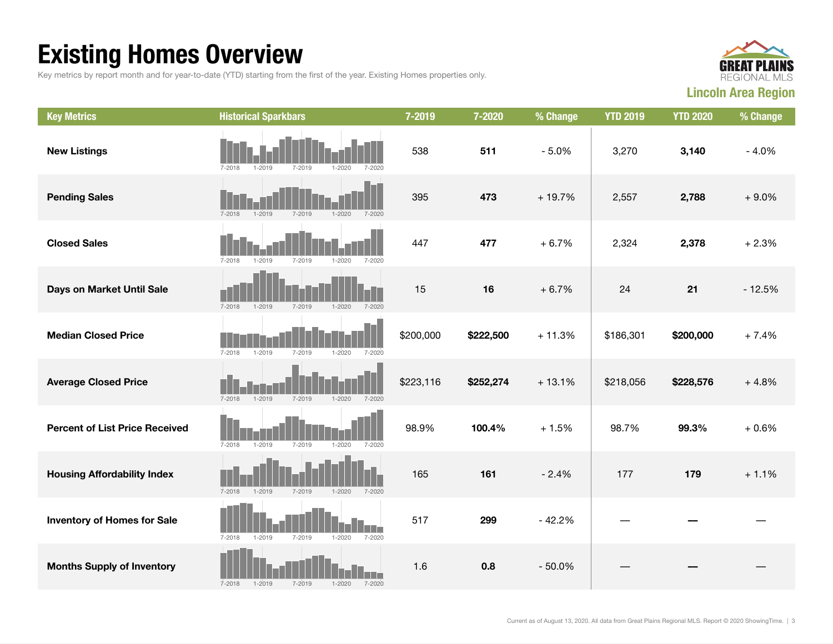## Existing Homes Overview

Key metrics by report month and for year-to-date (YTD) starting from the first of the year. Existing Homes properties only.



| <b>Key Metrics</b>                    | <b>Historical Sparkbars</b>                                        | 7-2019    | 7-2020    | % Change | <b>YTD 2019</b> | <b>YTD 2020</b> | % Change |
|---------------------------------------|--------------------------------------------------------------------|-----------|-----------|----------|-----------------|-----------------|----------|
| <b>New Listings</b>                   | $7 - 2018$<br>$7 - 2019$<br>$1 - 2020$<br>$7 - 2020$<br>$1 - 2019$ | 538       | 511       | $-5.0%$  | 3,270           | 3,140           | $-4.0%$  |
| <b>Pending Sales</b>                  | $7 - 2019$<br>$1 - 2020$<br>$7 - 2018$<br>$1 - 2019$<br>$7 - 2020$ | 395       | 473       | $+19.7%$ | 2,557           | 2,788           | $+9.0%$  |
| <b>Closed Sales</b>                   | $7 - 2018$<br>$1 - 2019$<br>$7 - 2019$<br>$1 - 2020$<br>$7 - 2020$ | 447       | 477       | $+6.7%$  | 2,324           | 2,378           | $+2.3%$  |
| Days on Market Until Sale             | $7 - 2018$<br>$1 - 2019$<br>$7 - 2019$<br>$1 - 2020$<br>$7 - 2020$ | 15        | 16        | $+6.7%$  | 24              | 21              | $-12.5%$ |
| <b>Median Closed Price</b>            | $7 - 2018$<br>$1 - 2019$<br>$7 - 2019$<br>$1 - 2020$<br>$7 - 2020$ | \$200,000 | \$222,500 | $+11.3%$ | \$186,301       | \$200,000       | $+7.4%$  |
| <b>Average Closed Price</b>           | 7-2018<br>$1 - 2019$<br>7-2019<br>$1 - 2020$<br>7-2020             | \$223,116 | \$252,274 | $+13.1%$ | \$218,056       | \$228,576       | $+4.8%$  |
| <b>Percent of List Price Received</b> | $7 - 2018$<br>$1 - 2019$<br>7-2019<br>$1 - 2020$<br>$7 - 2020$     | 98.9%     | 100.4%    | $+1.5%$  | 98.7%           | 99.3%           | $+0.6%$  |
| <b>Housing Affordability Index</b>    | $7 - 2018$<br>$1 - 2019$<br>$7 - 2019$<br>$1 - 2020$<br>7-2020     | 165       | 161       | $-2.4%$  | 177             | 179             | $+1.1%$  |
| <b>Inventory of Homes for Sale</b>    | $7 - 2018$<br>$1 - 2019$<br>$7 - 2019$<br>$1 - 2020$<br>$7 - 2020$ | 517       | 299       | $-42.2%$ |                 |                 |          |
| <b>Months Supply of Inventory</b>     | $7 - 2018$<br>$1 - 2019$<br>$7 - 2019$<br>$1 - 2020$<br>$7 - 2020$ | 1.6       | 0.8       | $-50.0%$ |                 |                 |          |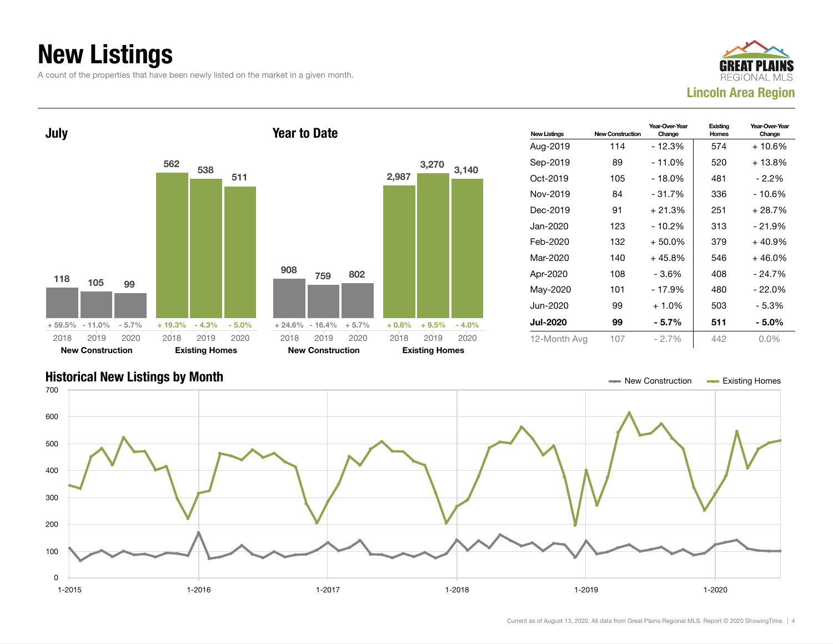## New Listings

A count of the properties that have been newly listed on the market in a given month.





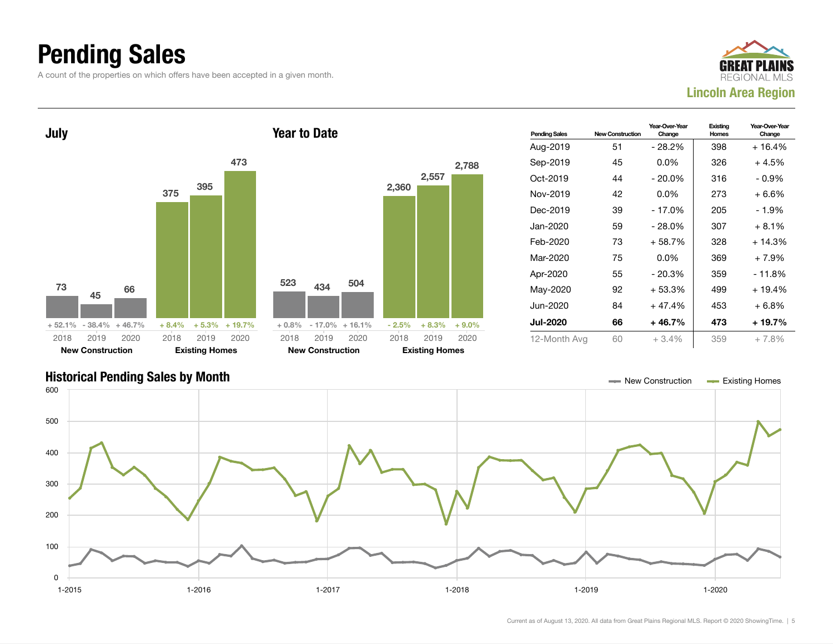## Pending Sales

A count of the properties on which offers have been accepted in a given month.





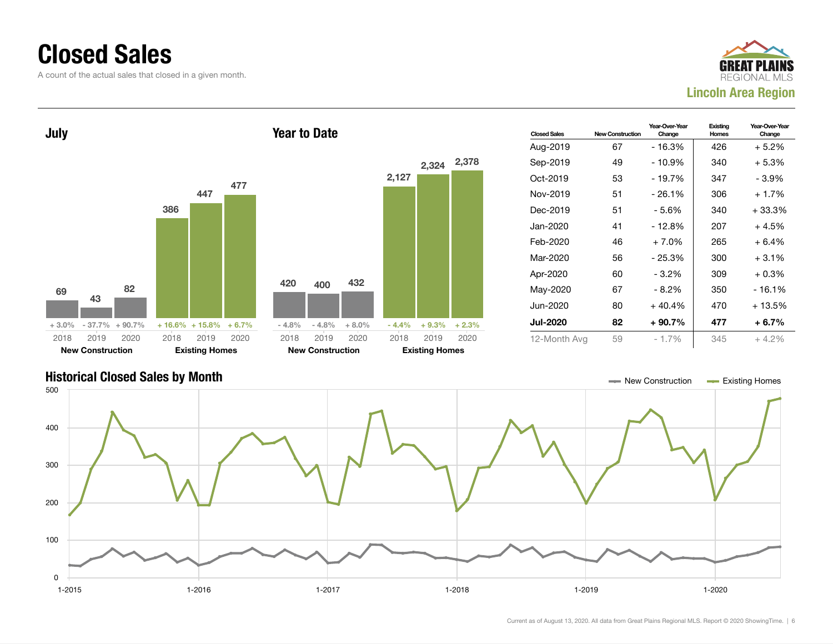#### Closed Sales

A count of the actual sales that closed in a given month.





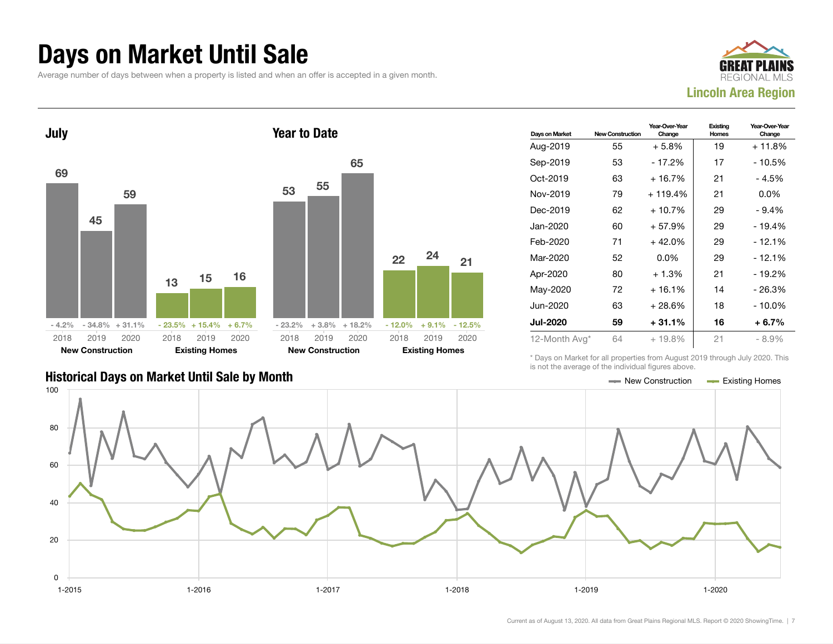#### Days on Market Until Sale

Average number of days between when a property is listed and when an offer is accepted in a given month.





#### Days on Market New Construction Year-Over-Year Change Existing Homes Year-Over-Year Change Aug-2019  $55 + 5.8\%$  19 + 11.8% Sep-2019 53 - 17.2% 17 - 10.5% Oct-2019 63 + 16.7% 21 - 4.5% Nov-2019 79 + 119.4% 21 0.0% Dec-2019 62 + 10.7% 29 - 9.4% Jan-2020 60 + 57.9% 29 - 19.4% Feb-2020 71 + 42.0% 29 - 12.1% Mar-2020 52 0.0% 29 - 12.1% Apr-2020 80 + 1.3% 21 - 19.2% May-2020 72 + 16.1% 14 - 26.3% Jun-2020 63 + 28.6% 18 - 10.0% Jul-2020 59 + 31.1% 16 + 6.7% 12-Month Avg\* 64 + 19.8% 21 - 8.9%

\* Days on Market for all properties from August 2019 through July 2020. This is not the average of the individual figures above.

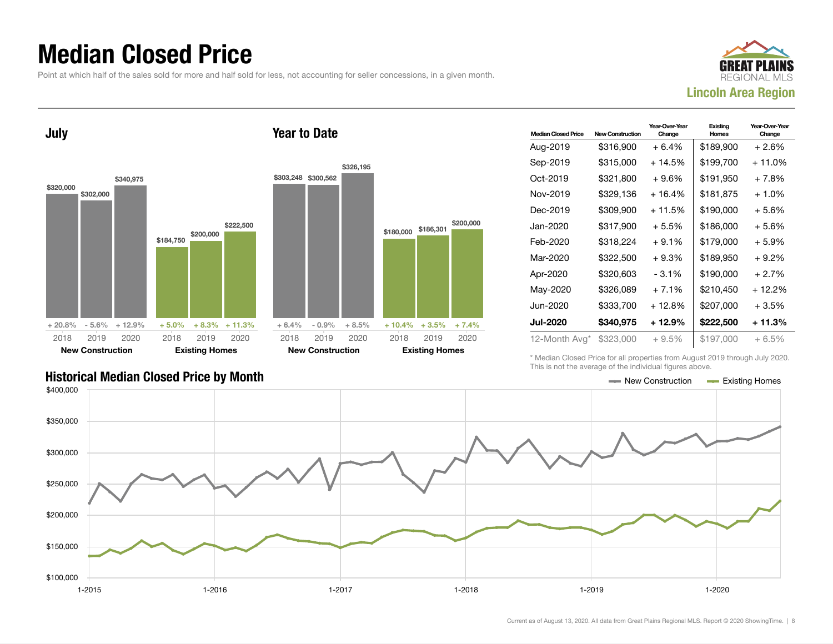## Median Closed Price

Point at which half of the sales sold for more and half sold for less, not accounting for seller concessions, in a given month.





| <b>Median Closed Price</b> | <b>New Construction</b> | Year-Over-Year<br>Change | Existing<br>Homes | Year-Over-Year<br>Change |
|----------------------------|-------------------------|--------------------------|-------------------|--------------------------|
| Aug-2019                   | \$316,900               | $+6.4%$                  | \$189,900         | + 2.6%                   |
| Sep-2019                   | \$315,000               | $+14.5%$                 | \$199,700         | + 11.0%                  |
| Oct-2019                   | \$321,800               | $+9.6%$                  | \$191,950         | $+7.8%$                  |
| Nov-2019                   | \$329,136               | $+16.4%$                 | \$181,875         | $+1.0%$                  |
| Dec-2019                   | \$309.900               | + 11.5%                  | \$190.000         | $+5.6%$                  |
| Jan-2020                   | \$317,900               | $+5.5%$                  | \$186,000         | $+5.6%$                  |
| Feb-2020                   | \$318.224               | $+9.1%$                  | \$179.000         | + 5.9%                   |
| Mar-2020                   | \$322,500               | $+9.3%$                  | \$189,950         | $+9.2%$                  |
| Apr-2020                   | \$320,603               | - 3.1%                   | \$190.000         | $+2.7%$                  |
| May-2020                   | \$326.089               | $+7.1%$                  | \$210.450         | + 12.2%                  |
| Jun-2020                   | \$333,700               | + 12.8%                  | \$207,000         | $+3.5%$                  |
| Jul-2020                   | \$340,975               | + 12.9%                  | \$222,500         | + 11.3%                  |
| 12-Month Avg*              | \$323,000               | $+9.5%$                  | \$197,000         | $+6.5%$                  |

Historical Median Closed Price by Month **New Construction According Closed Price by Month** New Construction According Homes

\* Median Closed Price for all properties from August 2019 through July 2020. This is not the average of the individual figures above.



\$200,000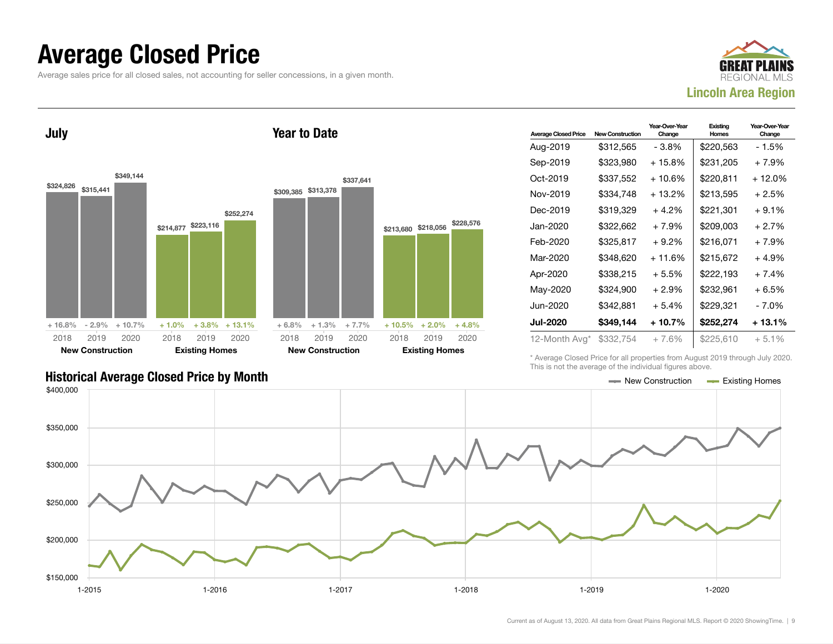#### Average Closed Price

Average sales price for all closed sales, not accounting for seller concessions, in a given month.



July



Year to Date

| <b>Average Closed Price</b> | <b>New Construction</b> | Year-Over-Year<br>Change | Existing<br>Homes | Year-Over-Year<br>Change |
|-----------------------------|-------------------------|--------------------------|-------------------|--------------------------|
| Aug-2019                    | \$312,565               | - 3.8%                   | \$220,563         | - 1.5%                   |
| Sep-2019                    | \$323,980               | + 15.8%                  | \$231,205         | $+7.9%$                  |
| Oct-2019                    | \$337,552               | $+10.6%$                 | \$220,811         | + 12.0%                  |
| Nov-2019                    | \$334,748               | + 13.2%                  | \$213,595         | $+2.5%$                  |
| Dec-2019                    | \$319,329               | $+4.2%$                  | \$221,301         | $+9.1%$                  |
| Jan-2020                    | \$322,662               | $+7.9%$                  | \$209,003         | $+2.7%$                  |
| Feb-2020                    | \$325,817               | $+9.2%$                  | \$216,071         | $+7.9%$                  |
| Mar-2020                    | \$348.620               | + 11.6%                  | \$215,672         | $+4.9%$                  |
| Apr-2020                    | \$338,215               | $+5.5%$                  | \$222,193         | $+7.4%$                  |
| May-2020                    | \$324,900               | $+2.9\%$                 | \$232,961         | $+6.5%$                  |
| Jun-2020                    | \$342,881               | $+5.4%$                  | \$229,321         | - 7.0%                   |
| <b>Jul-2020</b>             | \$349,144               | $+10.7%$                 | \$252,274         | $+13.1%$                 |
| 12-Month Avg*               | \$332,754               | $+7.6%$                  | \$225,610         | $+5.1%$                  |

Historical Average Closed Price by Month **New Construction Average Closed Price by Month** New Construction **New Construction** 

\* Average Closed Price for all properties from August 2019 through July 2020. This is not the average of the individual figures above.

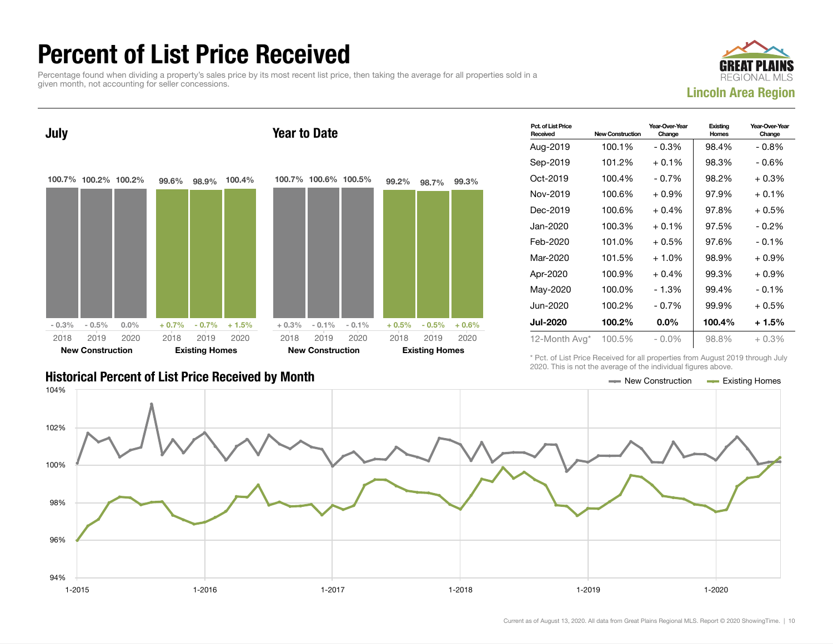## Percent of List Price Received

Percentage found when dividing a property's sales price by its most recent list price, then taking the average for all properties sold in a given month, not accounting for seller concessions.





| Pct. of List Price<br>Received | <b>New Construction</b> | Year-Over-Year<br>Change | Existing<br><b>Homes</b> | Year-Over-Year<br>Change |
|--------------------------------|-------------------------|--------------------------|--------------------------|--------------------------|
| Aug-2019                       | 100.1%                  | $-0.3%$                  | 98.4%                    | $-0.8%$                  |
| Sep-2019                       | 101.2%                  | $+0.1%$                  | 98.3%                    | $-0.6%$                  |
| Oct-2019                       | 100.4%                  | $-0.7%$                  | 98.2%                    | $+0.3%$                  |
| Nov-2019                       | 100.6%                  | $+0.9\%$                 | 97.9%                    | $+0.1\%$                 |
| Dec-2019                       | 100.6%                  | $+0.4%$                  | 97.8%                    | $+0.5%$                  |
| Jan-2020                       | 100.3%                  | $+0.1%$                  | 97.5%                    | $-0.2\%$                 |
| Feb-2020                       | 101.0%                  | $+0.5%$                  | 97.6%                    | $-0.1%$                  |
| Mar-2020                       | 101.5%                  | $+1.0%$                  | 98.9%                    | $+0.9%$                  |
| Apr-2020                       | 100.9%                  | $+0.4%$                  | 99.3%                    | $+0.9%$                  |
| May-2020                       | 100.0%                  | $-1.3%$                  | 99.4%                    | $-0.1%$                  |
| Jun-2020                       | 100.2%                  | $-0.7\%$                 | 99.9%                    | $+0.5%$                  |
| Jul-2020                       | 100.2%                  | $0.0\%$                  | 100.4%                   | $+1.5%$                  |
| 12-Month Avg*                  | 100.5%                  | $-0.0\%$                 | 98.8%                    | $+0.3%$                  |

Historical Percent of List Price Received by Month New Construction According Homes

\* Pct. of List Price Received for all properties from August 2019 through July 2020. This is not the average of the individual figures above.

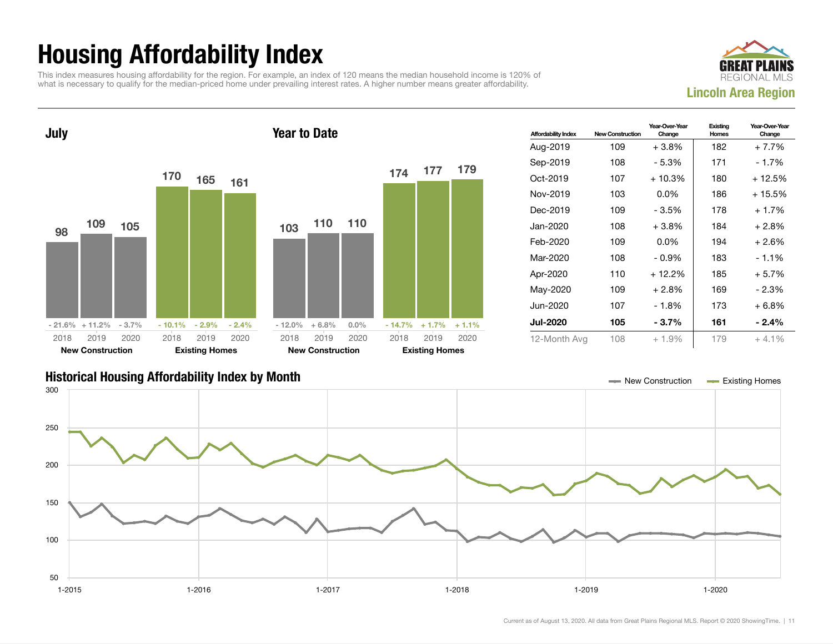## Housing Affordability Index

This index measures housing affordability for the region. For example, an index of 120 means the median household income is 120% of what is necessary to qualify for the median-priced home under prevailing interest rates. A higher number means greater affordability.





| <b>Affordability Index</b> | <b>New Construction</b> | Year-Over-Year<br>Change | Existing<br><b>Homes</b> | Year-Over-Year<br>Change |
|----------------------------|-------------------------|--------------------------|--------------------------|--------------------------|
| Aug-2019                   | 109                     | $+3.8\%$                 | 182                      | $+7.7%$                  |
| Sep-2019                   | 108                     | - 5.3%                   | 171                      | - 1.7%                   |
| Oct-2019                   | 107                     | $+10.3%$                 | 180                      | $+12.5%$                 |
| Nov-2019                   | 103                     | $0.0\%$                  | 186                      | + 15.5%                  |
| Dec-2019                   | 109                     | - 3.5%                   | 178                      | $+1.7%$                  |
| Jan-2020                   | 108                     | $+3.8%$                  | 184                      | $+2.8%$                  |
| Feb-2020                   | 109                     | $0.0\%$                  | 194                      | $+2.6%$                  |
| Mar-2020                   | 108                     | $-0.9\%$                 | 183                      | $-1.1%$                  |
| Apr-2020                   | 110                     | $+12.2%$                 | 185                      | $+5.7%$                  |
| May-2020                   | 109                     | $+2.8%$                  | 169                      | - 2.3%                   |
| Jun-2020.                  | 107                     | - 1.8%                   | 173                      | $+6.8%$                  |
| <b>Jul-2020</b>            | 105                     | - 3.7%                   | 161                      | $-2.4%$                  |
| 12-Month Avg               | 108                     | $+1.9\%$                 | 179                      | $+4.1%$                  |

#### Historical Housing Affordability Index by Month New Construction Existing Homes

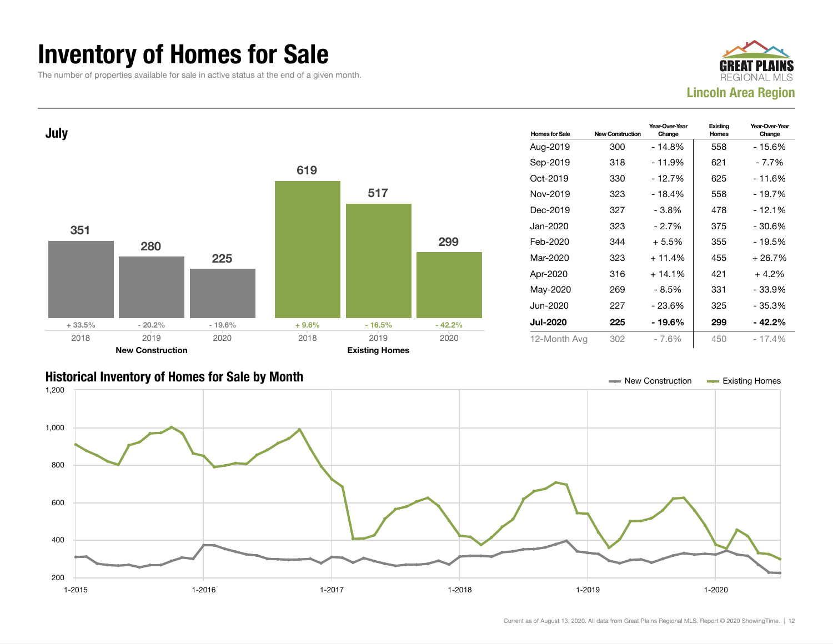#### Inventory of Homes for Sale

The number of properties available for sale in active status at the end of a given month.





#### Historical Inventory of Homes for Sale by Month New Construction Existing Homes

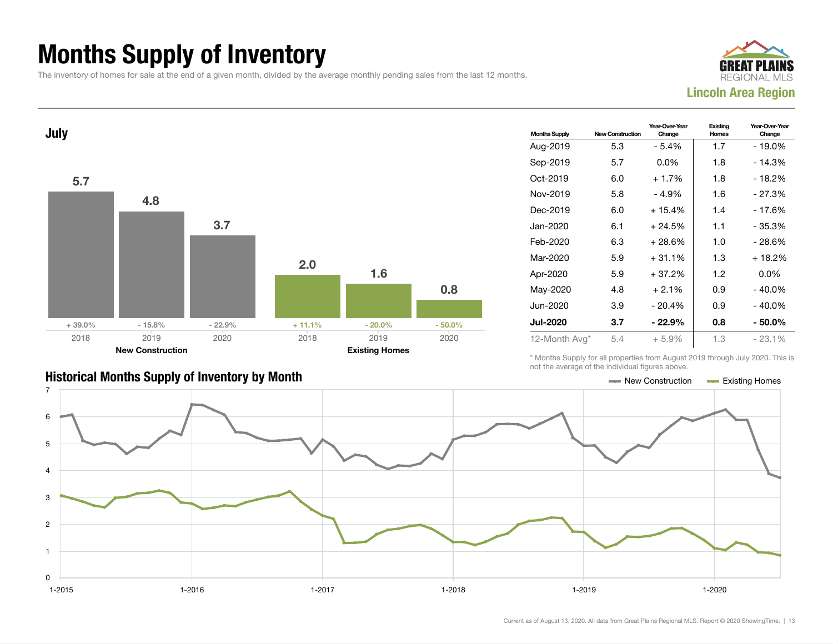## Months Supply of Inventory

The inventory of homes for sale at the end of a given month, divided by the average monthly pending sales from the last 12 months.





| <b>Months Supply</b> | <b>New Construction</b> | Year-Over-Year<br>Change | Existing<br>Homes | Year-Over-Year<br>Change |
|----------------------|-------------------------|--------------------------|-------------------|--------------------------|
| Aug-2019             | 5.3                     | - 5.4%                   | 1.7               | $-19.0%$                 |
| Sep-2019             | 5.7                     | $0.0\%$                  | 1.8               | - 14.3%                  |
| Oct-2019             | 6.0                     | $+1.7%$                  | 1.8               | - 18.2%                  |
| Nov-2019             | 5.8                     | $-4.9%$                  | 1.6               | $-27.3%$                 |
| Dec-2019             | 6.0                     | $+15.4%$                 | 1.4               | - 17.6%                  |
| Jan-2020             | 6.1                     | $+24.5%$                 | 1.1               | - 35.3%                  |
| Feb-2020             | 6.3                     | $+28.6%$                 | 1.0               | $-28.6%$                 |
| Mar-2020             | 5.9                     | $+31.1%$                 | 1.3               | $+18.2%$                 |
| Apr-2020             | 5.9                     | + 37.2%                  | 1.2               | $0.0\%$                  |
| May-2020             | 4.8                     | $+2.1%$                  | 0.9               | $-40.0\%$                |
| Jun-2020             | 3.9                     | $-20.4%$                 | 0.9               | $-40.0\%$                |
| <b>Jul-2020</b>      | 3.7                     | $-22.9%$                 | 0.8               | - 50.0%                  |
| 12-Month Avg*        | 5.4                     | $+5.9%$                  | 1.3               | $-23.1%$                 |

#### Historical Months Supply of Inventory by Month New York New York New York New Construction Access Existing Homes

\* Months Supply for all properties from August 2019 through July 2020. This is not the average of the individual figures above.